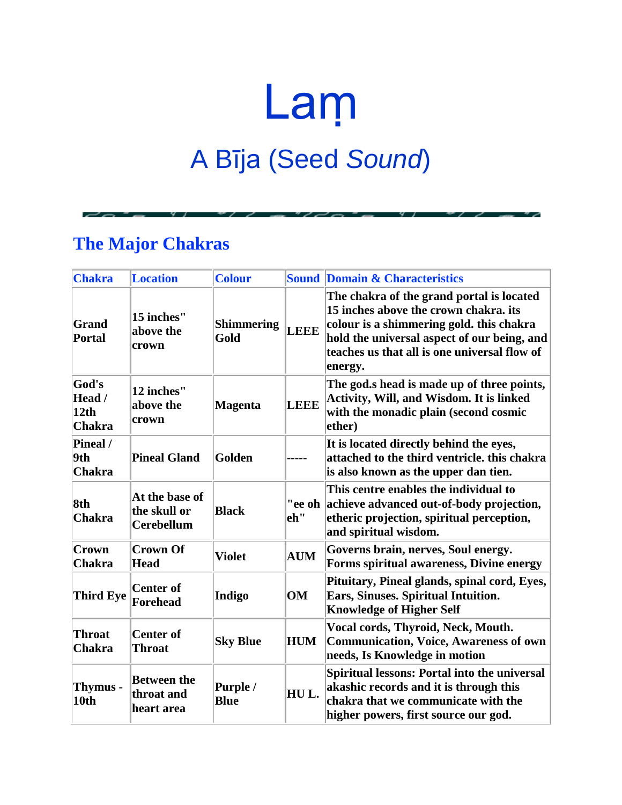## Laṃ A Bīja (Seed *Sound*)

## **The Major Chakras**

| <b>Chakra</b>                            | <b>Location</b>                                     | <b>Colour</b>             |             | <b>Sound Domain &amp; Characteristics</b>                                                                                                                                                                                                |
|------------------------------------------|-----------------------------------------------------|---------------------------|-------------|------------------------------------------------------------------------------------------------------------------------------------------------------------------------------------------------------------------------------------------|
| Grand<br>Portal                          | 15 inches"<br>above the<br>crown                    | <b>Shimmering</b><br>Gold | <b>LEEE</b> | The chakra of the grand portal is located<br>15 inches above the crown chakra. its<br>colour is a shimmering gold. this chakra<br>hold the universal aspect of our being, and<br>teaches us that all is one universal flow of<br>energy. |
| God's<br>Head /<br>12th<br><b>Chakra</b> | 12 inches"<br>above the<br>crown                    | <b>Magenta</b>            | <b>LEEE</b> | The god.s head is made up of three points,<br><b>Activity, Will, and Wisdom. It is linked</b><br>with the monadic plain (second cosmic<br>ether)                                                                                         |
| Pineal /<br>9th<br><b>Chakra</b>         | <b>Pineal Gland</b>                                 | <b>Golden</b>             |             | It is located directly behind the eyes,<br>attached to the third ventricle, this chakra<br>is also known as the upper dan tien.                                                                                                          |
| 8th<br><b>Chakra</b>                     | At the base of<br>the skull or<br><b>Cerebellum</b> | <b>Black</b>              | leh''       | This centre enables the individual to<br>"ee oh achieve advanced out-of-body projection,<br>etheric projection, spiritual perception,<br>and spiritual wisdom.                                                                           |
| Crown<br><b>Chakra</b>                   | <b>Crown Of</b><br><b>Head</b>                      | <b>Violet</b>             | <b>AUM</b>  | Governs brain, nerves, Soul energy.<br>Forms spiritual awareness, Divine energy                                                                                                                                                          |
| <b>Third Eye</b>                         | <b>Center of</b><br><b>Forehead</b>                 | Indigo                    | OM          | Pituitary, Pineal glands, spinal cord, Eyes,<br>Ears, Sinuses. Spiritual Intuition.<br><b>Knowledge of Higher Self</b>                                                                                                                   |
| <b>Throat</b><br><b>Chakra</b>           | <b>Center of</b><br><b>Throat</b>                   | <b>Sky Blue</b>           | <b>HUM</b>  | Vocal cords, Thyroid, Neck, Mouth.<br><b>Communication, Voice, Awareness of own</b><br>needs, Is Knowledge in motion                                                                                                                     |
| <b>Thymus -</b><br>10th                  | <b>Between the</b><br>throat and<br>heart area      | Purple /<br><b>Blue</b>   | HUL.        | <b>Spiritual lessons: Portal into the universal</b><br>akashic records and it is through this<br>chakra that we communicate with the<br>higher powers, first source our god.                                                             |